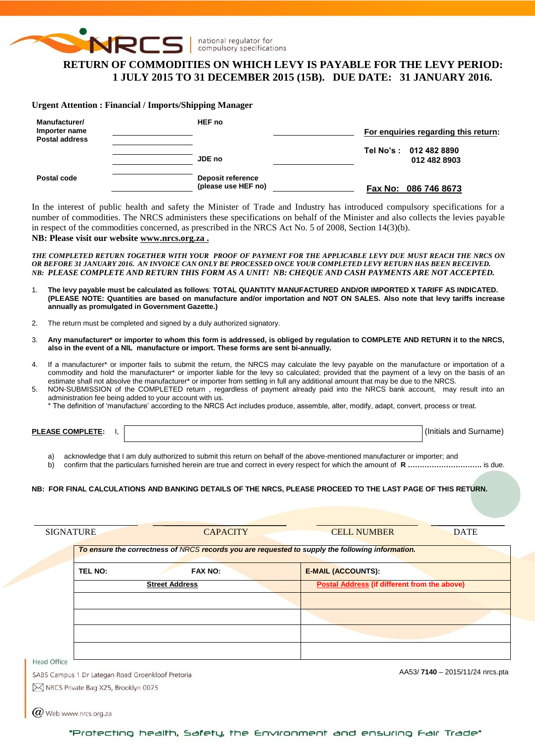

national regulator for compulsory specifications

# **RETURN OF COMMODITIES ON WHICH LEVY IS PAYABLE FOR THE LEVY PERIOD: 1 JULY 2015 TO 31 DECEMBER 2015 (15B). DUE DATE: 31 JANUARY 2016.**

#### **Urgent Attention : Financial / Imports/Shipping Manager**

| Manufacturer/<br>Importer name<br><b>Postal address</b> | HEF no                                   | For enguiries regarding this return:   |
|---------------------------------------------------------|------------------------------------------|----------------------------------------|
|                                                         | JDE no                                   | Tel No's: 012 482 8890<br>012 482 8903 |
| Postal code                                             | Deposit reference<br>(please use HEF no) | Fax No: 086 746 8673                   |

In the interest of public health and safety the Minister of Trade and Industry has introduced compulsory specifications for a number of commodities. The NRCS administers these specifications on behalf of the Minister and also collects the levies payable in respect of the commodities concerned, as prescribed in the NRCS Act No. 5 of 2008, Section 14(3)(b).

## **NB: Please visit our website [www.nrcs.org.za](http://www.nrcs.org.za/) .**

 $\bm{w}$  Web www.nrcs.org.za

*THE COMPLETED RETURN TOGETHER WITH YOUR PROOF OF PAYMENT FOR THE APPLICABLE LEVY DUE MUST REACH THE NRCS ON OR BEFORE 31 JANUARY 2016. AN INVOICE CAN ONLY BE PROCESSED ONCE YOUR COMPLETED LEVY RETURN HAS BEEN RECEIVED. NB: PLEASE COMPLETE AND RETURN THIS FORM AS A UNIT! NB: CHEQUE AND CASH PAYMENTS ARE NOT ACCEPTED.*

- 1. **The levy payable must be calculated as follows**: **TOTAL QUANTITY MANUFACTURED AND/OR IMPORTED X TARIFF AS INDICATED. (PLEASE NOTE: Quantities are based on manufacture and/or importation and NOT ON SALES. Also note that levy tariffs increase annually as promulgated in Government Gazette.)**
- 2. The return must be completed and signed by a duly authorized signatory.
- 3. **Any manufacturer\* or importer to whom this form is addressed, is obliged by regulation to COMPLETE AND RETURN it to the NRCS, also in the event of a NIL manufacture or import. These forms are sent bi-annually.**
- 4. If a manufacturer\* or importer fails to submit the return, the NRCS may calculate the levy payable on the manufacture or importation of a commodity and hold the manufacturer\* or importer liable for the levy so calculated; provided that the payment of a levy on the basis of an estimate shall not absolve the manufacturer\* or importer from settling in full any additional amount that may be due to the NRCS.
- 5. NON-SUBMISSION of the COMPLETED return , regardless of payment already paid into the NRCS bank account, may result into an administration fee being added to your account with us.
	- \* The definition of 'manufacture' according to the NRCS Act includes produce, assemble, alter, modify, adapt, convert, process or treat.

**PLEASE COMPLETE:** I,  $\vert$ 

a) acknowledge that I am duly authorized to submit this return on behalf of the above-mentioned manufacturer or importer; and

b) confirm that the particulars furnished herein are true and correct in every respect for which the amount of **R ………………………….** is due.

#### **NB: FOR FINAL CALCULATIONS AND BANKING DETAILS OF THE NRCS, PLEASE PROCEED TO THE LAST PAGE OF THIS RETURN.**

|                    |                                                   | To ensure the correctness of NRCS records you are requested to supply the following information. |
|--------------------|---------------------------------------------------|--------------------------------------------------------------------------------------------------|
| <b>TEL NO:</b>     | <b>FAX NO:</b>                                    | <b>E-MAIL (ACCOUNTS):</b>                                                                        |
|                    | <b>Street Address</b>                             | Postal Address (if different from the above)                                                     |
|                    |                                                   |                                                                                                  |
|                    |                                                   |                                                                                                  |
|                    |                                                   |                                                                                                  |
|                    |                                                   |                                                                                                  |
| <b>Head Office</b> | SABS Campus 1 Dr Lategan Road Groenkloof Pretoria | AA53/7140 - 2015/11/24 nrcs.pta                                                                  |

"Protecting health, Safety, the Environment and ensuring Fair Trade"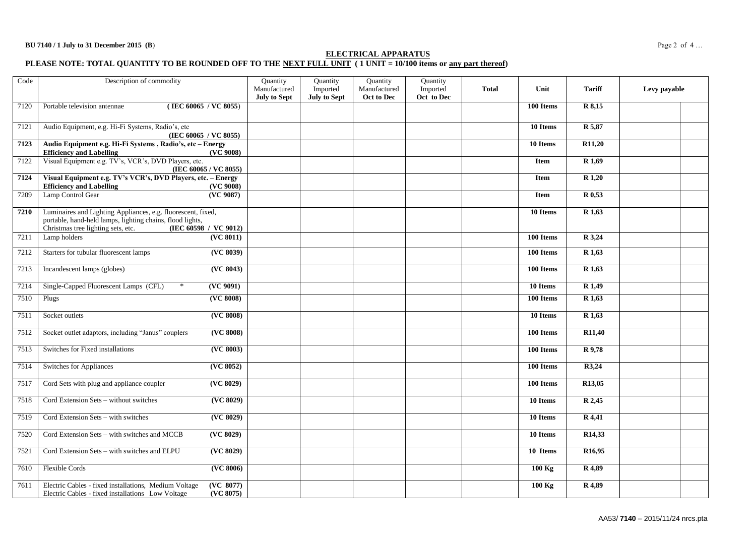## **ELECTRICAL APPARATUS**

#### **PLEASE NOTE: TOTAL QUANTITY TO BE ROUNDED OFF TO THE NEXT FULL UNIT ( 1 UNIT = 10/100 items or any part thereof)**

| Code | Description of commodity                                                                                                                                                                 |                                | Quantity<br>Manufactured<br><b>July to Sept</b> | Quantity<br>Imported<br><b>July to Sept</b> | Quantity<br>Manufactured<br>Oct to Dec | Quantity<br>Imported<br>Oct to Dec | <b>Total</b> | Unit                  | <b>Tariff</b>       | Levy payable |
|------|------------------------------------------------------------------------------------------------------------------------------------------------------------------------------------------|--------------------------------|-------------------------------------------------|---------------------------------------------|----------------------------------------|------------------------------------|--------------|-----------------------|---------------------|--------------|
| 7120 | (IEC 60065 / VC 8055)<br>Portable television antennae                                                                                                                                    |                                |                                                 |                                             |                                        |                                    |              | 100 Items             | $\overline{R8,15}$  |              |
| 7121 | Audio Equipment, e.g. Hi-Fi Systems, Radio's, etc<br>(IEC 60065 / VC 8055)                                                                                                               |                                |                                                 |                                             |                                        |                                    |              | 10 Items              | R 5,87              |              |
| 7123 | Audio Equipment e.g. Hi-Fi Systems, Radio's, etc - Energy<br><b>Efficiency and Labelling</b>                                                                                             | (VC 9008)                      |                                                 |                                             |                                        |                                    |              | 10 Items              | R <sub>11</sub> ,20 |              |
| 7122 | Visual Equipment e.g. TV's, VCR's, DVD Players, etc.<br>(IEC 60065 / VC 8055)                                                                                                            |                                |                                                 |                                             |                                        |                                    |              | <b>Item</b>           | R 1,69              |              |
| 7124 | Visual Equipment e.g. TV's VCR's, DVD Players, etc. - Energy<br><b>Efficiency and Labelling</b>                                                                                          | (VC 9008)                      |                                                 |                                             |                                        |                                    |              | Item                  | R 1,20              |              |
| 7209 | Lamp Control Gear                                                                                                                                                                        | (VC 9087)                      |                                                 |                                             |                                        |                                    |              | Item                  | R 0,53              |              |
| 7210 | Luminaires and Lighting Appliances, e.g. fluorescent, fixed,<br>portable, hand-held lamps, lighting chains, flood lights,<br>Christmas tree lighting sets, etc.<br>(IEC 60598 / VC 9012) |                                |                                                 |                                             |                                        |                                    |              | 10 Items              | R 1,63              |              |
| 7211 | Lamp holders                                                                                                                                                                             | $\overline{\text{ (VC 8011)}}$ |                                                 |                                             |                                        |                                    |              | 100 Items             | R 3,24              |              |
| 7212 | Starters for tubular fluorescent lamps                                                                                                                                                   | ( <b>VC</b> 8039)              |                                                 |                                             |                                        |                                    |              | 100 Items             | R 1,63              |              |
| 7213 | Incandescent lamps (globes)                                                                                                                                                              | (VC 8043)                      |                                                 |                                             |                                        |                                    |              | 100 Items             | R <sub>1</sub> ,63  |              |
| 7214 | Single-Capped Fluorescent Lamps (CFL)<br>$\ast$                                                                                                                                          | (VC 9091)                      |                                                 |                                             |                                        |                                    |              | 10 Items              | R 1,49              |              |
| 7510 | Plugs                                                                                                                                                                                    | (VC 8008)                      |                                                 |                                             |                                        |                                    |              | 100 Items             | R 1,63              |              |
| 7511 | Socket outlets                                                                                                                                                                           | ( <b>VC</b> 8008)              |                                                 |                                             |                                        |                                    |              | 10 Items              | $\overline{R1,63}$  |              |
| 7512 | Socket outlet adaptors, including "Janus" couplers                                                                                                                                       | ( <b>VC</b> 8008)              |                                                 |                                             |                                        |                                    |              | 100 Items             | R11,40              |              |
| 7513 | Switches for Fixed installations                                                                                                                                                         | ( <b>VC</b> 8003)              |                                                 |                                             |                                        |                                    |              | 100 Items             | R 9,78              |              |
| 7514 | Switches for Appliances                                                                                                                                                                  | (VC 8052)                      |                                                 |                                             |                                        |                                    |              | 100 Items             | R3,24               |              |
| 7517 | Cord Sets with plug and appliance coupler                                                                                                                                                | ( <b>VC</b> 8029)              |                                                 |                                             |                                        |                                    |              | 100 Items             | R13,05              |              |
| 7518 | Cord Extension Sets - without switches                                                                                                                                                   | ( <b>VC</b> 8029)              |                                                 |                                             |                                        |                                    |              | $\overline{10}$ Items | R 2,45              |              |
| 7519 | Cord Extension Sets - with switches                                                                                                                                                      | ( <b>VC</b> 8029)              |                                                 |                                             |                                        |                                    |              | 10 Items              | R 4,41              |              |
| 7520 | Cord Extension Sets - with switches and MCCB                                                                                                                                             | (VC 8029)                      |                                                 |                                             |                                        |                                    |              | 10 Items              | R <sub>14</sub> ,33 |              |
| 7521 | Cord Extension Sets - with switches and ELPU                                                                                                                                             | (VC 8029)                      |                                                 |                                             |                                        |                                    |              | 10 Items              | R <sub>16</sub> ,95 |              |
| 7610 | Flexible Cords                                                                                                                                                                           | ( <b>VC</b> 8006)              |                                                 |                                             |                                        |                                    |              | $100$ Kg              | R 4,89              |              |
| 7611 | Electric Cables - fixed installations, Medium Voltage<br>Electric Cables - fixed installations Low Voltage                                                                               | (VC 8077)<br>(VC 8075)         |                                                 |                                             |                                        |                                    |              | $100$ Kg              | R 4,89              |              |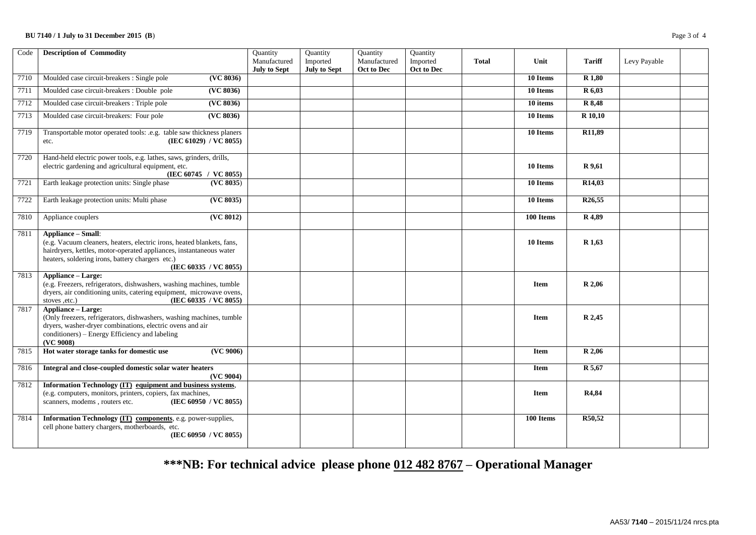## **BU 7140 / 1 July to 31 December 2015 (B)** Page 3 of 4

| Code | <b>Description of Commodity</b>                                                                                                                                                                                                                         | Quantity<br>Manufactured<br><b>July to Sept</b> | Quantity<br>Imported<br><b>July to Sept</b> | Quantity<br>Manufactured<br>Oct to Dec | Quantity<br>Imported<br>Oct to Dec | <b>Total</b> | Unit        | <b>Tariff</b>       | Levy Payable |  |
|------|---------------------------------------------------------------------------------------------------------------------------------------------------------------------------------------------------------------------------------------------------------|-------------------------------------------------|---------------------------------------------|----------------------------------------|------------------------------------|--------------|-------------|---------------------|--------------|--|
| 7710 | Moulded case circuit-breakers : Single pole<br>(VC 8036)                                                                                                                                                                                                |                                                 |                                             |                                        |                                    |              | 10 Items    | R 1,80              |              |  |
| 7711 | Moulded case circuit-breakers : Double pole<br>(VC 8036)                                                                                                                                                                                                |                                                 |                                             |                                        |                                    |              | 10 Items    | R 6,03              |              |  |
| 7712 | Moulded case circuit-breakers : Triple pole<br>(VC 8036)                                                                                                                                                                                                |                                                 |                                             |                                        |                                    |              | 10 items    | R 8,48              |              |  |
| 7713 | Moulded case circuit-breakers: Four pole<br>(VC 8036)                                                                                                                                                                                                   |                                                 |                                             |                                        |                                    |              | 10 Items    | R 10,10             |              |  |
| 7719 | Transportable motor operated tools: .e.g. table saw thickness planers<br>(IEC 61029) / $V\hat{C}$ 8055)<br>etc.                                                                                                                                         |                                                 |                                             |                                        |                                    |              | 10 Items    | R <sub>11</sub> ,89 |              |  |
| 7720 | Hand-held electric power tools, e.g. lathes, saws, grinders, drills,<br>electric gardening and agricultural equipment, etc.<br>(IEC 60745 / VC 8055)                                                                                                    |                                                 |                                             |                                        |                                    |              | 10 Items    | R 9,61              |              |  |
| 7721 | Earth leakage protection units: Single phase<br>(VC 8035)                                                                                                                                                                                               |                                                 |                                             |                                        |                                    |              | 10 Items    | R14,03              |              |  |
| 7722 | ( <b>VC</b> 8035)<br>Earth leakage protection units: Multi phase                                                                                                                                                                                        |                                                 |                                             |                                        |                                    |              | 10 Items    | R <sub>26</sub> ,55 |              |  |
| 7810 | Appliance couplers<br>(VC 8012)                                                                                                                                                                                                                         |                                                 |                                             |                                        |                                    |              | 100 Items   | R 4,89              |              |  |
| 7811 | <b>Appliance - Small:</b><br>(e.g. Vacuum cleaners, heaters, electric irons, heated blankets, fans,<br>hairdryers, kettles, motor-operated appliances, instantaneous water<br>heaters, soldering irons, battery chargers etc.)<br>(IEC 60335 / VC 8055) |                                                 |                                             |                                        |                                    |              | 10 Items    | R <sub>1,63</sub>   |              |  |
| 7813 | Appliance - Large:<br>(e.g. Freezers, refrigerators, dishwashers, washing machines, tumble<br>dryers, air conditioning units, catering equipment, microwave ovens,<br>(IEC 60335 / VC 8055)<br>stoves ,etc.)                                            |                                                 |                                             |                                        |                                    |              | <b>Item</b> | R 2,06              |              |  |
| 7817 | <b>Appliance - Large:</b><br>(Only freezers, refrigerators, dishwashers, washing machines, tumble<br>dryers, washer-dryer combinations, electric ovens and air<br>conditioners) – Energy Efficiency and labeling<br>(VC 9008)                           |                                                 |                                             |                                        |                                    |              | <b>Item</b> | R 2,45              |              |  |
| 7815 | Hot water storage tanks for domestic use<br>(VC 9006)                                                                                                                                                                                                   |                                                 |                                             |                                        |                                    |              | Item        | R 2,06              |              |  |
| 7816 | Integral and close-coupled domestic solar water heaters<br>(VC 9004)                                                                                                                                                                                    |                                                 |                                             |                                        |                                    |              | Item        | R 5,67              |              |  |
| 7812 | Information Technology (IT) equipment and business systems,<br>(e.g. computers, monitors, printers, copiers, fax machines,<br>scanners, modems, routers etc.<br>(IEC 60950 / VC 8055)                                                                   |                                                 |                                             |                                        |                                    |              | <b>Item</b> | R4,84               |              |  |
| 7814 | Information Technology (IT) components, e.g. power-supplies,<br>cell phone battery chargers, motherboards, etc.<br>(IEC 60950 / VC 8055)                                                                                                                |                                                 |                                             |                                        |                                    |              | 100 Items   | R50,52              |              |  |

**\*\*\*NB: For technical advice please phone 012 482 8767 – Operational Manager**